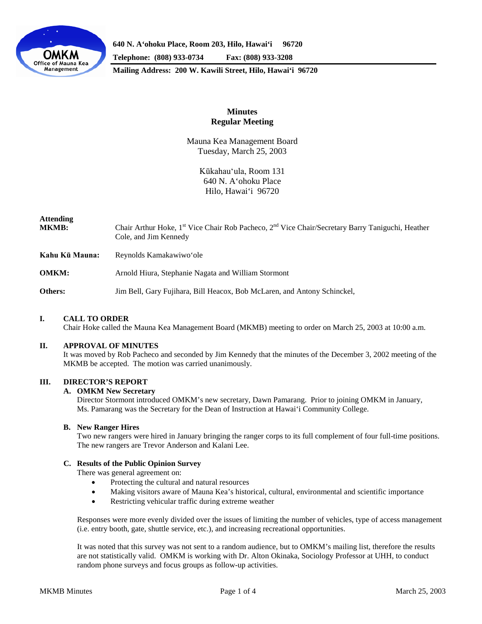

**640 N. A'ohoku Place, Room 203, Hilo, Hawai'i 96720 Telephone: (808) 933-0734 Fax: (808) 933-3208**

**Mailing Address: 200 W. Kawili Street, Hilo, Hawai'i 96720**

## **Minutes Regular Meeting**

Mauna Kea Management Board Tuesday, March 25, 2003

> Kūkahau'ula, Room 131 640 N. A'ohoku Place Hilo, Hawai'i 96720

## **Attending**

| <b>MKMB:</b> | Chair Arthur Hoke, 1 <sup>st</sup> Vice Chair Rob Pacheco, 2 <sup>nd</sup> Vice Chair/Secretary Barry Taniguchi, Heather |
|--------------|--------------------------------------------------------------------------------------------------------------------------|
|              | Cole, and Jim Kennedy                                                                                                    |

**Kahu Kū Mauna:** Reynolds Kamakawiwo'ole

**OMKM:** Arnold Hiura, Stephanie Nagata and William Stormont

**Others:** Jim Bell, Gary Fujihara, Bill Heacox, Bob McLaren, and Antony Schinckel,

## **I. CALL TO ORDER**

Chair Hoke called the Mauna Kea Management Board (MKMB) meeting to order on March 25, 2003 at 10:00 a.m.

#### **II. APPROVAL OF MINUTES**

It was moved by Rob Pacheco and seconded by Jim Kennedy that the minutes of the December 3, 2002 meeting of the MKMB be accepted. The motion was carried unanimously.

## **III. DIRECTOR'S REPORT**

#### **A. OMKM New Secretary**

Director Stormont introduced OMKM's new secretary, Dawn Pamarang. Prior to joining OMKM in January, Ms. Pamarang was the Secretary for the Dean of Instruction at Hawai'i Community College.

#### **B. New Ranger Hires**

Two new rangers were hired in January bringing the ranger corps to its full complement of four full-time positions. The new rangers are Trevor Anderson and Kalani Lee.

#### **C. Results of the Public Opinion Survey**

There was general agreement on:

- Protecting the cultural and natural resources
- Making visitors aware of Mauna Kea's historical, cultural, environmental and scientific importance
- Restricting vehicular traffic during extreme weather

Responses were more evenly divided over the issues of limiting the number of vehicles, type of access management (i.e. entry booth, gate, shuttle service, etc.), and increasing recreational opportunities.

It was noted that this survey was not sent to a random audience, but to OMKM's mailing list, therefore the results are not statistically valid. OMKM is working with Dr. Alton Okinaka, Sociology Professor at UHH, to conduct random phone surveys and focus groups as follow-up activities.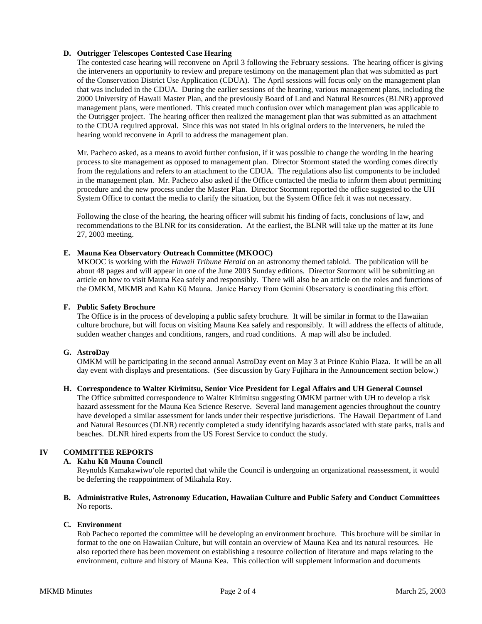## **D. Outrigger Telescopes Contested Case Hearing**

The contested case hearing will reconvene on April 3 following the February sessions. The hearing officer is giving the interveners an opportunity to review and prepare testimony on the management plan that was submitted as part of the Conservation District Use Application (CDUA). The April sessions will focus only on the management plan that was included in the CDUA. During the earlier sessions of the hearing, various management plans, including the 2000 University of Hawaii Master Plan, and the previously Board of Land and Natural Resources (BLNR) approved management plans, were mentioned. This created much confusion over which management plan was applicable to the Outrigger project. The hearing officer then realized the management plan that was submitted as an attachment to the CDUA required approval. Since this was not stated in his original orders to the interveners, he ruled the hearing would reconvene in April to address the management plan.

Mr. Pacheco asked, as a means to avoid further confusion, if it was possible to change the wording in the hearing process to site management as opposed to management plan. Director Stormont stated the wording comes directly from the regulations and refers to an attachment to the CDUA. The regulations also list components to be included in the management plan. Mr. Pacheco also asked if the Office contacted the media to inform them about permitting procedure and the new process under the Master Plan. Director Stormont reported the office suggested to the UH System Office to contact the media to clarify the situation, but the System Office felt it was not necessary.

Following the close of the hearing, the hearing officer will submit his finding of facts, conclusions of law, and recommendations to the BLNR for its consideration. At the earliest, the BLNR will take up the matter at its June 27, 2003 meeting.

#### **E. Mauna Kea Observatory Outreach Committee (MKOOC)**

MKOOC is working with the *Hawaii Tribune Herald* on an astronomy themed tabloid. The publication will be about 48 pages and will appear in one of the June 2003 Sunday editions. Director Stormont will be submitting an article on how to visit Mauna Kea safely and responsibly. There will also be an article on the roles and functions of the OMKM, MKMB and Kahu Kū Mauna. Janice Harvey from Gemini Observatory is coordinating this effort.

#### **F. Public Safety Brochure**

The Office is in the process of developing a public safety brochure. It will be similar in format to the Hawaiian culture brochure, but will focus on visiting Mauna Kea safely and responsibly. It will address the effects of altitude, sudden weather changes and conditions, rangers, and road conditions. A map will also be included.

## **G. AstroDay**

OMKM will be participating in the second annual AstroDay event on May 3 at Prince Kuhio Plaza. It will be an all day event with displays and presentations. (See discussion by Gary Fujihara in the Announcement section below.)

#### **H. Correspondence to Walter Kirimitsu, Senior Vice President for Legal Affairs and UH General Counsel**

The Office submitted correspondence to Walter Kirimitsu suggesting OMKM partner with UH to develop a risk hazard assessment for the Mauna Kea Science Reserve. Several land management agencies throughout the country have developed a similar assessment for lands under their respective jurisdictions. The Hawaii Department of Land and Natural Resources (DLNR) recently completed a study identifying hazards associated with state parks, trails and beaches. DLNR hired experts from the US Forest Service to conduct the study.

## **IV COMMITTEE REPORTS**

## **A. Kahu Kū Mauna Council**

Reynolds Kamakawiwo'ole reported that while the Council is undergoing an organizational reassessment, it would be deferring the reappointment of Mikahala Roy.

**B. Administrative Rules, Astronomy Education, Hawaiian Culture and Public Safety and Conduct Committees** No reports.

#### **C. Environment**

Rob Pacheco reported the committee will be developing an environment brochure. This brochure will be similar in format to the one on Hawaiian Culture, but will contain an overview of Mauna Kea and its natural resources. He also reported there has been movement on establishing a resource collection of literature and maps relating to the environment, culture and history of Mauna Kea. This collection will supplement information and documents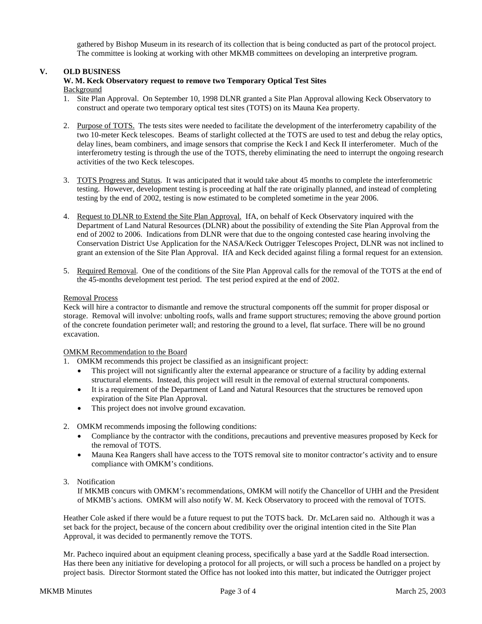gathered by Bishop Museum in its research of its collection that is being conducted as part of the protocol project. The committee is looking at working with other MKMB committees on developing an interpretive program.

## **V. OLD BUSINESS**

# **W. M. Keck Observatory request to remove two Temporary Optical Test Sites**

#### **Background**

- 1. Site Plan Approval. On September 10, 1998 DLNR granted a Site Plan Approval allowing Keck Observatory to construct and operate two temporary optical test sites (TOTS) on its Mauna Kea property.
- 2. Purpose of TOTS. The tests sites were needed to facilitate the development of the interferometry capability of the two 10-meter Keck telescopes. Beams of starlight collected at the TOTS are used to test and debug the relay optics, delay lines, beam combiners, and image sensors that comprise the Keck I and Keck II interferometer. Much of the interferometry testing is through the use of the TOTS, thereby eliminating the need to interrupt the ongoing research activities of the two Keck telescopes.
- 3. TOTS Progress and Status. It was anticipated that it would take about 45 months to complete the interferometric testing. However, development testing is proceeding at half the rate originally planned, and instead of completing testing by the end of 2002, testing is now estimated to be completed sometime in the year 2006.
- 4. Request to DLNR to Extend the Site Plan Approval. IfA, on behalf of Keck Observatory inquired with the Department of Land Natural Resources (DLNR) about the possibility of extending the Site Plan Approval from the end of 2002 to 2006. Indications from DLNR were that due to the ongoing contested case hearing involving the Conservation District Use Application for the NASA/Keck Outrigger Telescopes Project, DLNR was not inclined to grant an extension of the Site Plan Approval. IfA and Keck decided against filing a formal request for an extension.
- 5. Required Removal. One of the conditions of the Site Plan Approval calls for the removal of the TOTS at the end of the 45-months development test period. The test period expired at the end of 2002.

#### Removal Process

Keck will hire a contractor to dismantle and remove the structural components off the summit for proper disposal or storage. Removal will involve: unbolting roofs, walls and frame support structures; removing the above ground portion of the concrete foundation perimeter wall; and restoring the ground to a level, flat surface. There will be no ground excavation.

## OMKM Recommendation to the Board

1. OMKM recommends this project be classified as an insignificant project:

- This project will not significantly alter the external appearance or structure of a facility by adding external structural elements. Instead, this project will result in the removal of external structural components.
- It is a requirement of the Department of Land and Natural Resources that the structures be removed upon expiration of the Site Plan Approval.
- This project does not involve ground excavation.
- 2. OMKM recommends imposing the following conditions:
	- Compliance by the contractor with the conditions, precautions and preventive measures proposed by Keck for the removal of TOTS.
	- Mauna Kea Rangers shall have access to the TOTS removal site to monitor contractor's activity and to ensure compliance with OMKM's conditions.

## 3. Notification

If MKMB concurs with OMKM's recommendations, OMKM will notify the Chancellor of UHH and the President of MKMB's actions. OMKM will also notify W. M. Keck Observatory to proceed with the removal of TOTS.

Heather Cole asked if there would be a future request to put the TOTS back. Dr. McLaren said no. Although it was a set back for the project, because of the concern about credibility over the original intention cited in the Site Plan Approval, it was decided to permanently remove the TOTS.

Mr. Pacheco inquired about an equipment cleaning process, specifically a base yard at the Saddle Road intersection. Has there been any initiative for developing a protocol for all projects, or will such a process be handled on a project by project basis. Director Stormont stated the Office has not looked into this matter, but indicated the Outrigger project